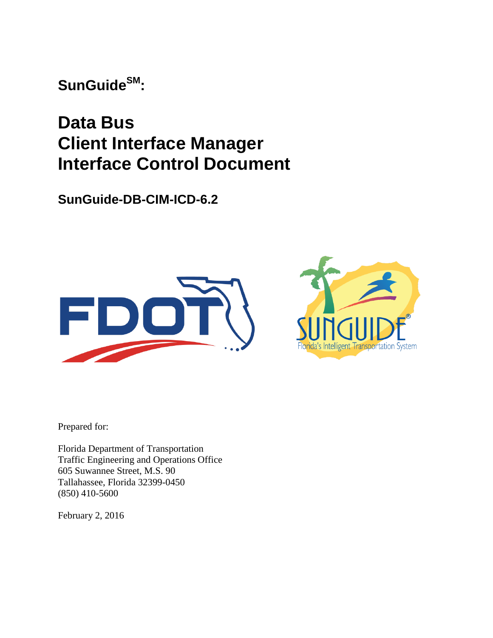**SunGuideSM:**

# **Data Bus Client Interface Manager Interface Control Document**

**SunGuide-DB-CIM-ICD-6.2**





Prepared for:

Florida Department of Transportation Traffic Engineering and Operations Office 605 Suwannee Street, M.S. 90 Tallahassee, Florida 32399-0450 (850) 410-5600

February 2, 2016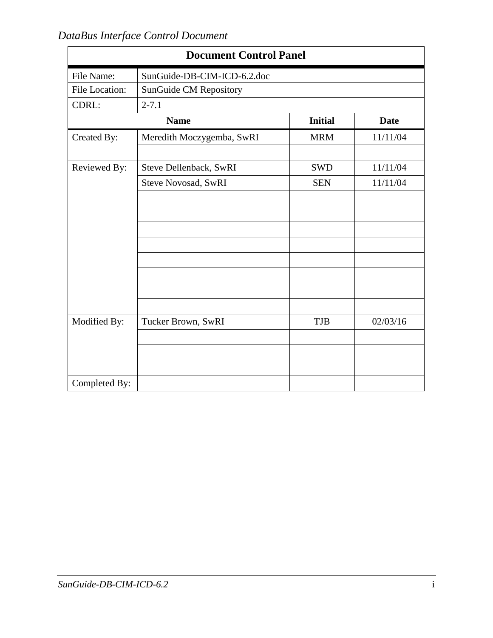| <b>Document Control Panel</b> |                             |                |             |  |  |  |  |  |  |
|-------------------------------|-----------------------------|----------------|-------------|--|--|--|--|--|--|
| File Name:                    | SunGuide-DB-CIM-ICD-6.2.doc |                |             |  |  |  |  |  |  |
| File Location:                | SunGuide CM Repository      |                |             |  |  |  |  |  |  |
| CDRL:                         | $2 - 7.1$                   |                |             |  |  |  |  |  |  |
|                               | <b>Name</b>                 | <b>Initial</b> | <b>Date</b> |  |  |  |  |  |  |
| Created By:                   | Meredith Moczygemba, SwRI   | <b>MRM</b>     | 11/11/04    |  |  |  |  |  |  |
| Reviewed By:                  | Steve Dellenback, SwRI      | <b>SWD</b>     | 11/11/04    |  |  |  |  |  |  |
|                               | Steve Novosad, SwRI         | <b>SEN</b>     | 11/11/04    |  |  |  |  |  |  |
|                               |                             |                |             |  |  |  |  |  |  |
|                               |                             |                |             |  |  |  |  |  |  |
|                               |                             |                |             |  |  |  |  |  |  |
|                               |                             |                |             |  |  |  |  |  |  |
|                               |                             |                |             |  |  |  |  |  |  |
|                               |                             |                |             |  |  |  |  |  |  |
|                               |                             |                |             |  |  |  |  |  |  |
|                               |                             |                |             |  |  |  |  |  |  |
| Modified By:                  | Tucker Brown, SwRI          | <b>TJB</b>     | 02/03/16    |  |  |  |  |  |  |
|                               |                             |                |             |  |  |  |  |  |  |
|                               |                             |                |             |  |  |  |  |  |  |
|                               |                             |                |             |  |  |  |  |  |  |
| Completed By:                 |                             |                |             |  |  |  |  |  |  |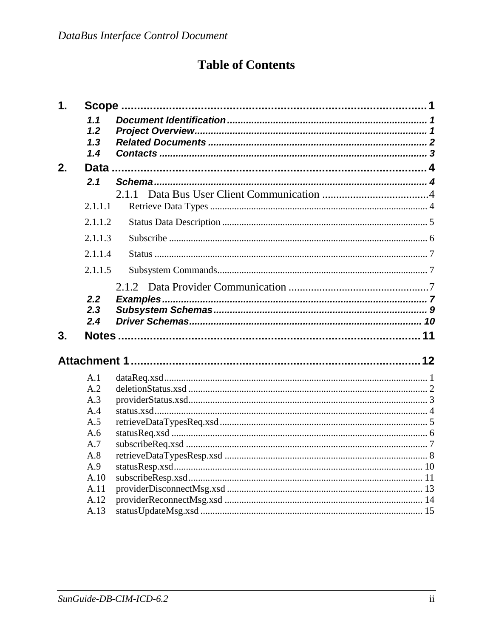# **Table of Contents**

| 1. |                          |  |
|----|--------------------------|--|
|    | 1.1<br>1.2<br>1.3<br>1.4 |  |
| 2. |                          |  |
|    | 2.1                      |  |
|    |                          |  |
|    | 2.1.1.1                  |  |
|    | 2.1.1.2                  |  |
|    | 2.1.1.3                  |  |
|    | 2.1.1.4                  |  |
|    | 2.1.1.5                  |  |
|    |                          |  |
|    | 2.2                      |  |
|    | 2.3<br>2.4               |  |
|    |                          |  |
| 3. |                          |  |
|    |                          |  |
|    | A.1                      |  |
|    | A.2                      |  |
|    | A.3                      |  |
|    | A.4                      |  |
|    | A.5                      |  |
|    | A.6                      |  |
|    | A.7                      |  |
|    | A.8                      |  |
|    | A.9                      |  |
|    | A.10                     |  |
|    | A.11                     |  |
|    | A.12                     |  |
|    | A.13                     |  |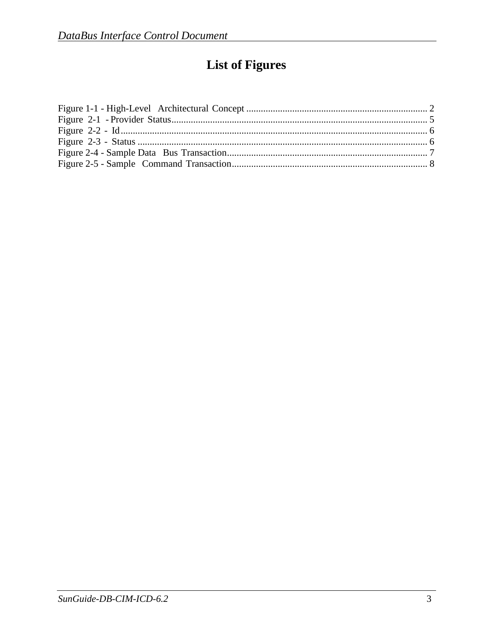# **List of Figures**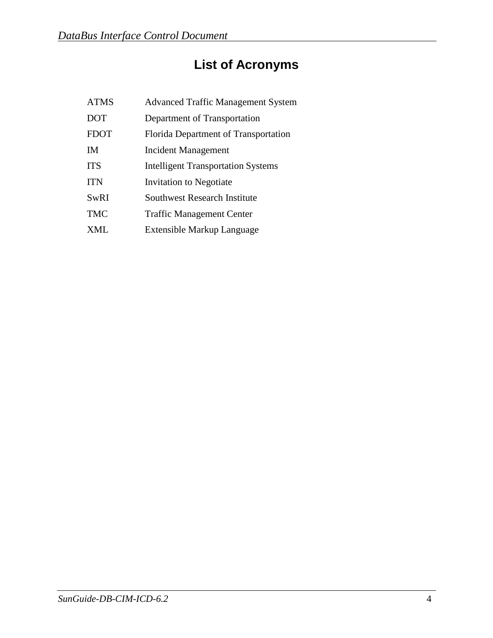# **List of Acronyms**

| <b>ATMS</b> | <b>Advanced Traffic Management System</b> |
|-------------|-------------------------------------------|
| <b>DOT</b>  | Department of Transportation              |
| <b>FDOT</b> | Florida Department of Transportation      |
| <b>IM</b>   | <b>Incident Management</b>                |
| <b>ITS</b>  | <b>Intelligent Transportation Systems</b> |
| <b>ITN</b>  | Invitation to Negotiate                   |
| <b>SwRI</b> | <b>Southwest Research Institute</b>       |
| <b>TMC</b>  | <b>Traffic Management Center</b>          |
| <b>XML</b>  | Extensible Markup Language                |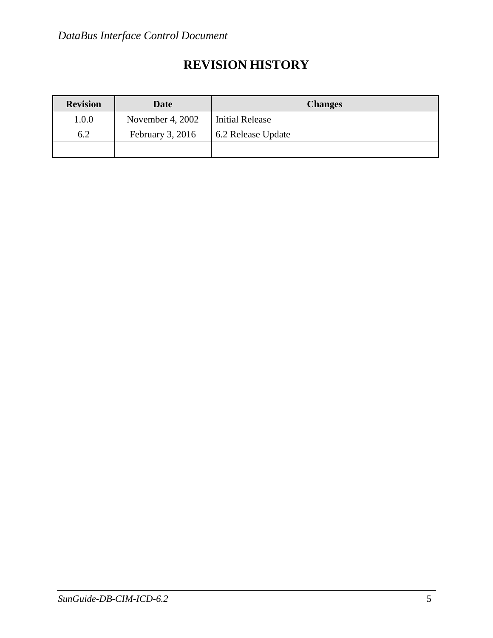## **REVISION HISTORY**

| <b>Revision</b> | Date               | <b>Changes</b>         |
|-----------------|--------------------|------------------------|
| 1.0.0           | November 4, 2002   | <b>Initial Release</b> |
| 6.2             | February $3, 2016$ | 6.2 Release Update     |
|                 |                    |                        |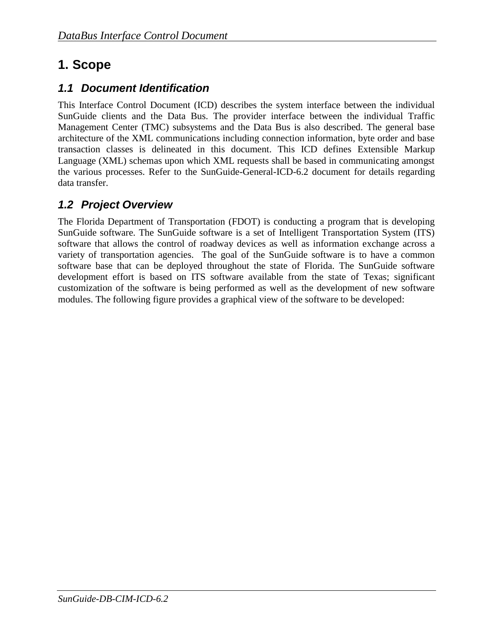## <span id="page-6-0"></span>**1. Scope**

## <span id="page-6-1"></span>*1.1 Document Identification*

This Interface Control Document (ICD) describes the system interface between the individual SunGuide clients and the Data Bus. The provider interface between the individual Traffic Management Center (TMC) subsystems and the Data Bus is also described. The general base architecture of the XML communications including connection information, byte order and base transaction classes is delineated in this document. This ICD defines Extensible Markup Language (XML) schemas upon which XML requests shall be based in communicating amongst the various processes. Refer to the SunGuide-General-ICD-6.2 document for details regarding data transfer.

## <span id="page-6-2"></span>*1.2 Project Overview*

The Florida Department of Transportation (FDOT) is conducting a program that is developing SunGuide software. The SunGuide software is a set of Intelligent Transportation System (ITS) software that allows the control of roadway devices as well as information exchange across a variety of transportation agencies. The goal of the SunGuide software is to have a common software base that can be deployed throughout the state of Florida. The SunGuide software development effort is based on ITS software available from the state of Texas; significant customization of the software is being performed as well as the development of new software modules. The following figure provides a graphical view of the software to be developed: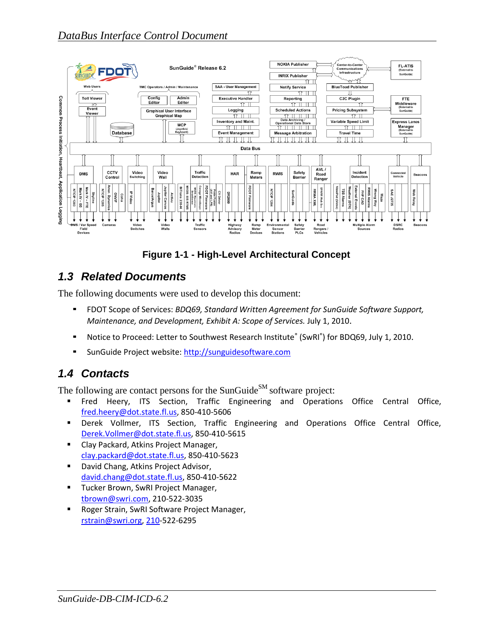

**Figure 1-1 - High-Level Architectural Concept**

## <span id="page-7-0"></span>*1.3 Related Documents*

The following documents were used to develop this document:

- FDOT Scope of Services: *BDQ69, Standard Written Agreement for SunGuide Software Support, Maintenance, and Development, Exhibit A: Scope of Services.* July 1, 2010.
- Notice to Proceed: Letter to Southwest Research Institute® (SwRI®) for BDQ69, July 1, 2010.
- SunGuide Project website: [http://sunguidesoftware.com](http://sunguidesoftware.com/)

## <span id="page-7-1"></span>*1.4 Contacts*

The following are contact persons for the SunGuide<sup>SM</sup> software project:

- Fred Heery, ITS Section, Traffic Engineering and Operations Office Central Office, [fred.heery@dot.state.fl.us,](mailto:fred.heery@dot.state.fl.us) 850-410-5606
- Derek Vollmer, ITS Section, Traffic Engineering and Operations Office Central Office, [Derek.Vollmer@dot.state.fl.us,](mailto:Derek.Vollmer@dot.state.fl.us) 850-410-5615
- Clay Packard, Atkins Project Manager, [clay.packard@dot.](mailto:clay.packard@dot)state.fl.us, 850-410-5623
- **David Chang, Atkins Project Advisor,** [david.chang@dot.state.fl.us,](mailto:david.chang@dot.state.fl.us) 850-410-5622
- **Tucker Brown, SwRI Project Manager,** [tbrown@swri.com,](mailto:tbrown@swri.com) 210-522-3035
- **Roger Strain, SwRI Software Project Manager,** [rstrain@swri.org,](mailto:rstrain@swri.org) 210-522-6295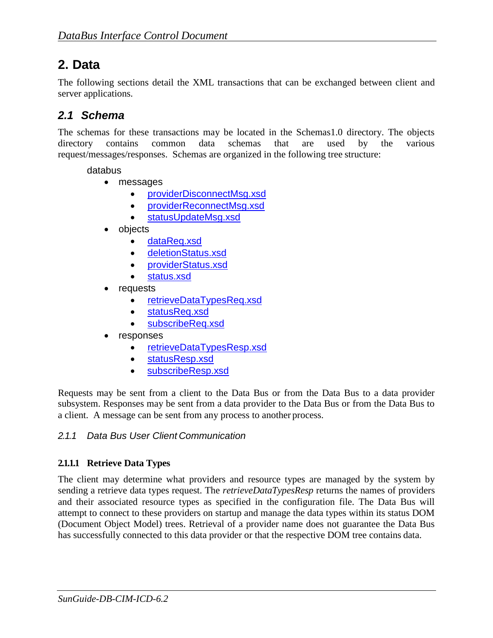## <span id="page-8-0"></span>**2. Data**

The following sections detail the XML transactions that can be exchanged between client and server applications.

## <span id="page-8-1"></span>*2.1 Schema*

The schemas for these transactions may be located in the Schemas1.0 directory. The objects directory contains common data schemas that are used by the various request/messages/responses. Schemas are organized in the following tree structure:

databus

- messages
	- providerDisconnectMsg.xsd
	- providerReconnectMsg.xsd
	- statusUpdateMsg.xsd
- objects
	- dataReq.xsd
	- deletionStatus.xsd
	- providerStatus.xsd
	- status.xsd
- requests
	- retrieveDataTypesReq.xsd
	- statusReq.xsd
	- subscribeReq.xsd
- responses
	- retrieveDataTypesResp.xsd
	- statusResp.xsd
	- subscribeResp.xsd

Requests may be sent from a client to the Data Bus or from the Data Bus to a data provider subsystem. Responses may be sent from a data provider to the Data Bus or from the Data Bus to a client. A message can be sent from any process to another process.

### <span id="page-8-2"></span>*2.1.1 Data Bus User Client Communication*

### <span id="page-8-3"></span>**2.1.1.1 Retrieve Data Types**

The client may determine what providers and resource types are managed by the system by sending a retrieve data types request. The *retrieveDataTypesResp* returns the names of providers and their associated resource types as specified in the configuration file. The Data Bus will attempt to connect to these providers on startup and manage the data types within its status DOM (Document Object Model) trees. Retrieval of a provider name does not guarantee the Data Bus has successfully connected to this data provider or that the respective DOM tree contains data.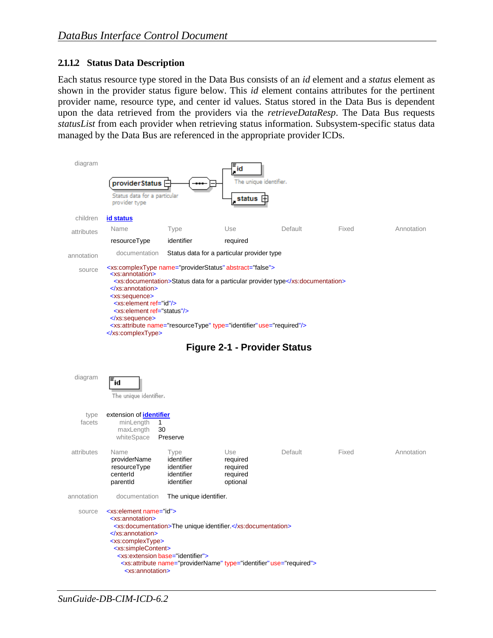#### <span id="page-9-0"></span>**2.1.1.2 Status Data Description**

Each status resource type stored in the Data Bus consists of an *id* element and a *status* element as shown in the provider status figure below. This *id* element contains attributes for the pertinent provider name, resource type, and center id values. Status stored in the Data Bus is dependent upon the data retrieved from the providers via the *retrieveDataResp*. The Data Bus requests *statusList* from each provider when retrieving status information. Subsystem-specific status data managed by the Data Bus are referenced in the appropriate provider ICDs.





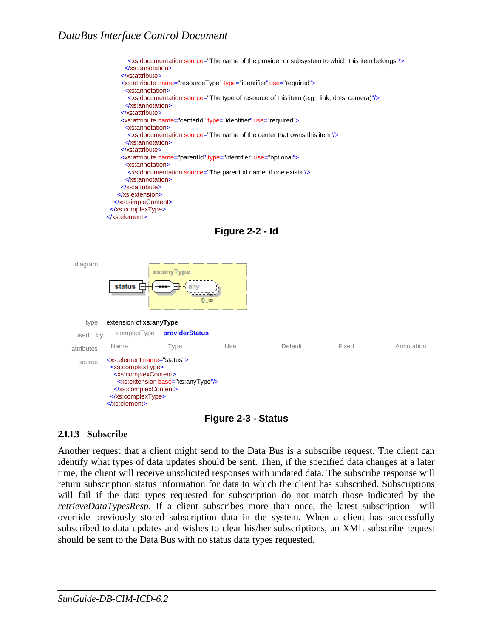





### **Figure 2-3 - Status**

### <span id="page-10-0"></span>**2.1.1.3 Subscribe**

Another request that a client might send to the Data Bus is a subscribe request. The client can identify what types of data updates should be sent. Then, if the specified data changes at a later time, the client will receive unsolicited responses with updated data. The subscribe response will return subscription status information for data to which the client has subscribed. Subscriptions will fail if the data types requested for subscription do not match those indicated by the *retrieveDataTypesResp*. If a client subscribes more than once, the latest subscription will override previously stored subscription data in the system. When a client has successfully subscribed to data updates and wishes to clear his/her subscriptions, an XML subscribe request should be sent to the Data Bus with no status data types requested.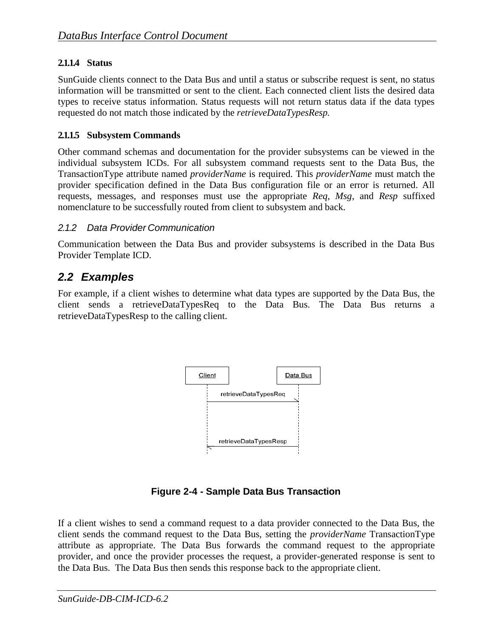## <span id="page-11-0"></span>**2.1.1.4 Status**

SunGuide clients connect to the Data Bus and until a status or subscribe request is sent, no status information will be transmitted or sent to the client. Each connected client lists the desired data types to receive status information. Status requests will not return status data if the data types requested do not match those indicated by the *retrieveDataTypesResp.*

### <span id="page-11-1"></span>**2.1.1.5 Subsystem Commands**

Other command schemas and documentation for the provider subsystems can be viewed in the individual subsystem ICDs. For all subsystem command requests sent to the Data Bus, the TransactionType attribute named *providerName* is required. This *providerName* must match the provider specification defined in the Data Bus configuration file or an error is returned. All requests, messages, and responses must use the appropriate *Req*, *Msg*, and *Resp* suffixed nomenclature to be successfully routed from client to subsystem and back.

## <span id="page-11-2"></span>*2.1.2 Data Provider Communication*

Communication between the Data Bus and provider subsystems is described in the Data Bus Provider Template ICD.

## <span id="page-11-3"></span>*2.2 Examples*

For example, if a client wishes to determine what data types are supported by the Data Bus, the client sends a retrieveDataTypesReq to the Data Bus. The Data Bus returns a retrieveDataTypesResp to the calling client.



**Figure 2-4 - Sample Data Bus Transaction**

If a client wishes to send a command request to a data provider connected to the Data Bus, the client sends the command request to the Data Bus, setting the *providerName* TransactionType attribute as appropriate. The Data Bus forwards the command request to the appropriate provider, and once the provider processes the request, a provider-generated response is sent to the Data Bus. The Data Bus then sends this response back to the appropriate client.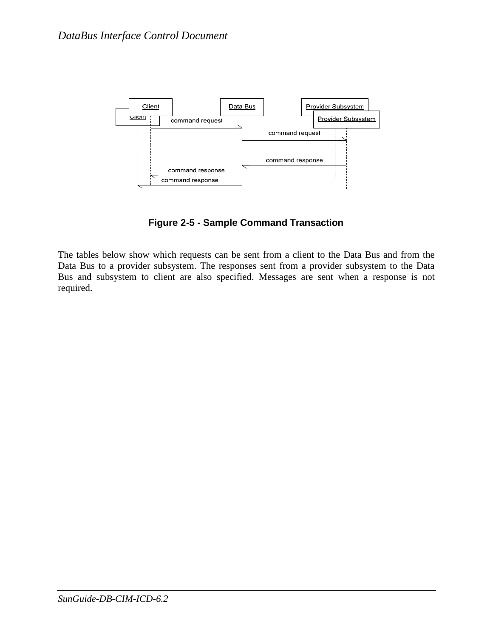

**Figure 2-5 - Sample Command Transaction**

The tables below show which requests can be sent from a client to the Data Bus and from the Data Bus to a provider subsystem. The responses sent from a provider subsystem to the Data Bus and subsystem to client are also specified. Messages are sent when a response is not required.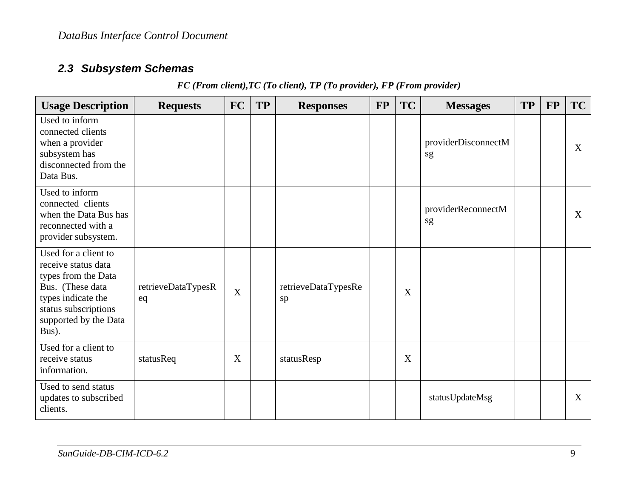## *2.3 Subsystem Schemas*

| FC (From client), TC (To client), TP (To provider), FP (From provider) |  |  |  |  |  |  |
|------------------------------------------------------------------------|--|--|--|--|--|--|
|------------------------------------------------------------------------|--|--|--|--|--|--|

<span id="page-13-0"></span>

| <b>Usage Description</b>                                                                                                                                               | <b>Requests</b>          | <b>FC</b>                 | <b>TP</b> | <b>Responses</b>          | <b>FP</b> | <b>TC</b> | <b>Messages</b>           | <b>TP</b> | <b>FP</b> | <b>TC</b> |
|------------------------------------------------------------------------------------------------------------------------------------------------------------------------|--------------------------|---------------------------|-----------|---------------------------|-----------|-----------|---------------------------|-----------|-----------|-----------|
| Used to inform<br>connected clients<br>when a provider<br>subsystem has<br>disconnected from the<br>Data Bus.                                                          |                          |                           |           |                           |           |           | providerDisconnectM<br>sg |           |           | X         |
| Used to inform<br>connected clients<br>when the Data Bus has<br>reconnected with a<br>provider subsystem.                                                              |                          |                           |           |                           |           |           | providerReconnectM<br>sg  |           |           | X         |
| Used for a client to<br>receive status data<br>types from the Data<br>Bus. (These data<br>types indicate the<br>status subscriptions<br>supported by the Data<br>Bus). | retrieveDataTypesR<br>eq | $\boldsymbol{\mathrm{X}}$ |           | retrieveDataTypesRe<br>sp |           | X         |                           |           |           |           |
| Used for a client to<br>receive status<br>information.                                                                                                                 | statusReq                | X                         |           | statusResp                |           | X         |                           |           |           |           |
| Used to send status<br>updates to subscribed<br>clients.                                                                                                               |                          |                           |           |                           |           |           | statusUpdateMsg           |           |           | X         |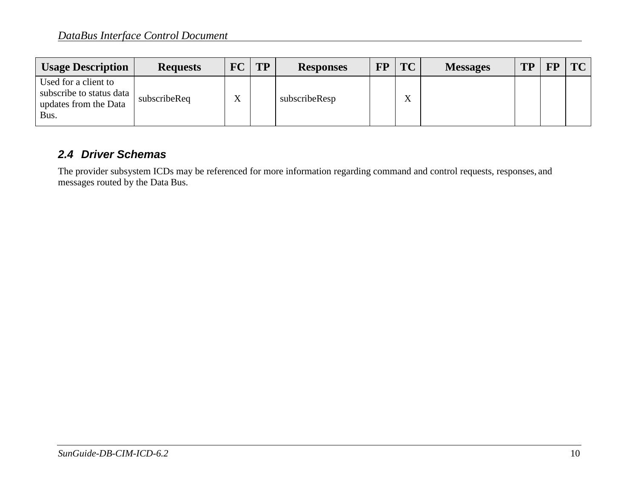| <b>Usage Description</b>                                                          | <b>Requests</b> | <b>FC</b> | <b>TP</b> | <b>Responses</b> | <b>FP</b> | <b>TC</b>         | <b>Messages</b> | <b>TP</b> | <b>FP</b> | <b>TC</b> |
|-----------------------------------------------------------------------------------|-----------------|-----------|-----------|------------------|-----------|-------------------|-----------------|-----------|-----------|-----------|
| Used for a client to<br>subscribe to status data<br>updates from the Data<br>Bus. | subscribeReq    | T         |           | subscribeResp    |           | $\mathbf{v}$<br>Λ |                 |           |           |           |

## *2.4 Driver Schemas*

<span id="page-14-0"></span>The provider subsystem ICDs may be referenced for more information regarding command and control requests, responses, and messages routed by the Data Bus.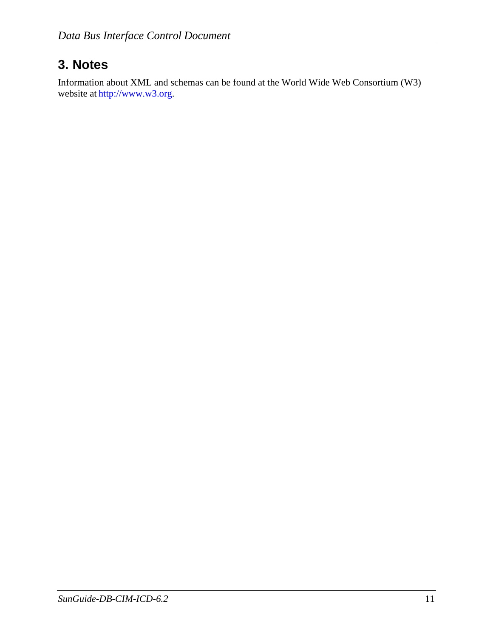# <span id="page-15-0"></span>**3. Notes**

Information about XML and schemas can be found at the World Wide Web Consortium (W3) website at [http://www.w3.org.](http://www.w3.org/)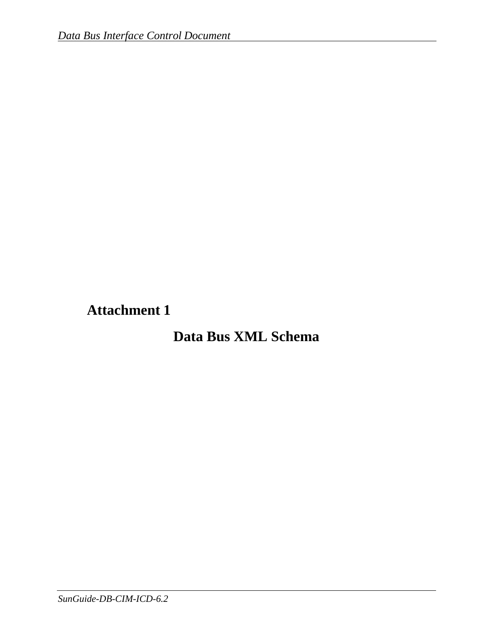<span id="page-16-0"></span>**Attachment 1**

# **Data Bus XML Schema**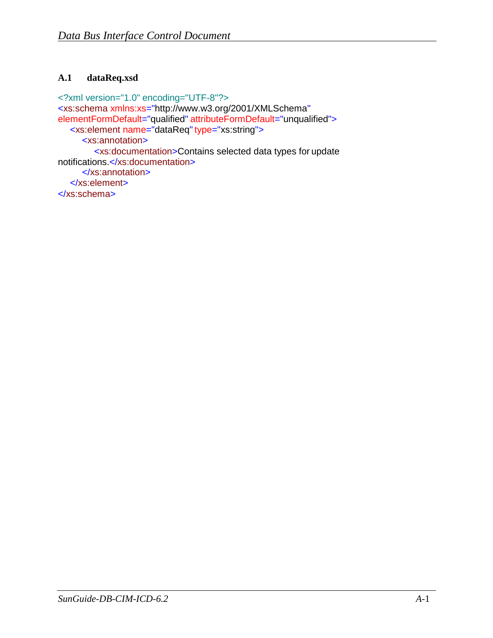## <span id="page-17-0"></span>**A.1 dataReq.xsd**

<?xml version="1.0" encoding="UTF-8"?> <xs:schema xmlns:xs=["http://www.w3.org/2001/XMLSchema"](http://www.w3.org/2001/XMLSchema) elementFormDefault="qualified" attributeFormDefault="unqualified"> <xs:element name="dataReq"type="xs:string"> <xs:annotation> <xs:documentation>Contains selected data types for update notifications.</xs:documentation> </xs:annotation> </xs:element> </xs:schema>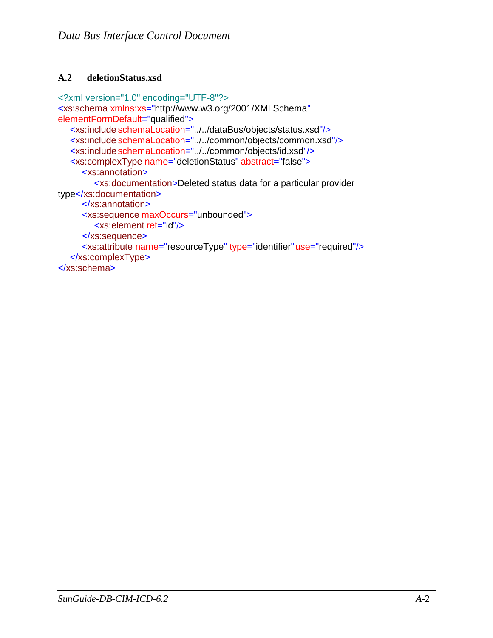## <span id="page-18-0"></span>**A.2 deletionStatus.xsd**

```
<?xml version="1.0" encoding="UTF-8"?>
<xs:schema xmlns:xs="http://www.w3.org/2001/XMLSchema" 
elementFormDefault="qualified">
  <xs:include schemaLocation="../../dataBus/objects/status.xsd"/>
  <xs:include schemaLocation="../../common/objects/common.xsd"/>
  <xs:include schemaLocation="../../common/objects/id.xsd"/>
  <xs:complexType name="deletionStatus" abstract="false">
     <xs:annotation>
        <xs:documentation>Deleted status data for a particular provider 
type</xs:documentation>
     </xs:annotation>
     <xs:sequence maxOccurs="unbounded">
        <xs:element ref="id"/>
     </xs:sequence>
     <xs:attribute name="resourceType" type="identifier"use="required"/>
   </xs:complexType>
</xs:schema>
```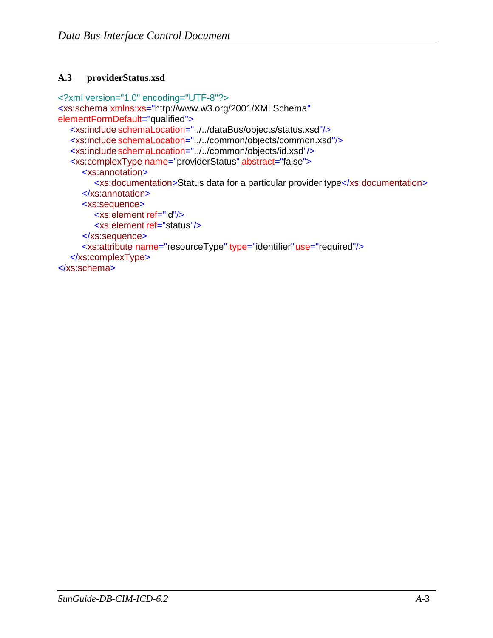## <span id="page-19-0"></span>**A.3 providerStatus.xsd**

```
<?xml version="1.0" encoding="UTF-8"?>
<xs:schema xmlns:xs="http://www.w3.org/2001/XMLSchema" 
elementFormDefault="qualified">
  <xs:include schemaLocation="../../dataBus/objects/status.xsd"/>
  <xs:include schemaLocation="../../common/objects/common.xsd"/>
  <xs:include schemaLocation="../../common/objects/id.xsd"/>
  <xs:complexType name="providerStatus" abstract="false">
     <xs:annotation>
        <xs:documentation>Status data for a particular provider type</xs:documentation>
     </xs:annotation>
     <xs:sequence>
        <xs:element ref="id"/>
        <xs:element ref="status"/>
     </xs:sequence>
     <xs:attribute name="resourceType" type="identifier"use="required"/>
   </xs:complexType>
</xs:schema>
```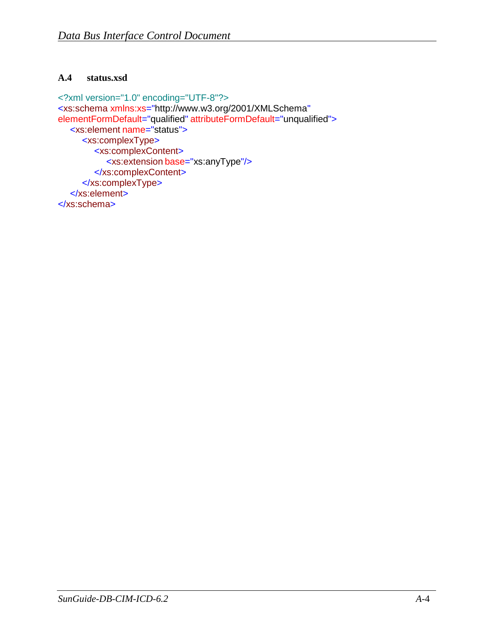#### <span id="page-20-0"></span>**A.4 status.xsd**

```
<?xml version="1.0" encoding="UTF-8"?>
<xs:schema xmlns:xs="http://www.w3.org/2001/XMLSchema" 
elementFormDefault="qualified" attributeFormDefault="unqualified">
  <xs:element name="status">
     <xs:complexType>
        <xs:complexContent>
          <xs:extension base="xs:anyType"/>
        </xs:complexContent>
     </xs:complexType>
  </xs:element>
</xs:schema>
```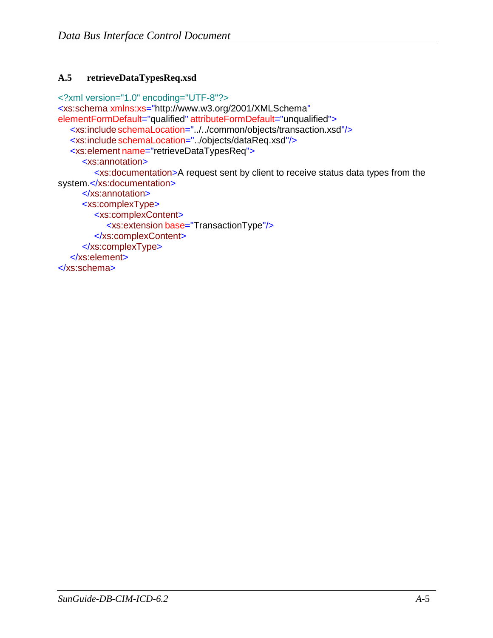## <span id="page-21-0"></span>**A.5 retrieveDataTypesReq.xsd**

<?xml version="1.0" encoding="UTF-8"?> <xs:schema xmlns:xs=["http://www.w3.org/2001/XMLSchema"](http://www.w3.org/2001/XMLSchema) elementFormDefault="qualified" attributeFormDefault="unqualified"> <xs:include schemaLocation="../../common/objects/transaction.xsd"/> <xs:include schemaLocation="../objects/dataReq.xsd"/> <xs:element name="retrieveDataTypesReq"> <xs:annotation> <xs:documentation>A request sent by client to receive status data types from the system.</xs:documentation> </xs:annotation> <xs:complexType> <xs:complexContent> <xs:extension base="TransactionType"/> </xs:complexContent> </xs:complexType> </xs:element> </xs:schema>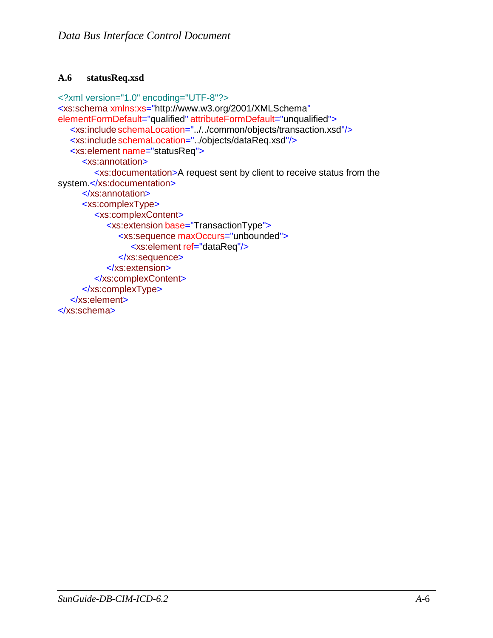### <span id="page-22-0"></span>**A.6 statusReq.xsd**

```
<?xml version="1.0" encoding="UTF-8"?>
<xs:schema xmlns:xs="http://www.w3.org/2001/XMLSchema" 
elementFormDefault="qualified" attributeFormDefault="unqualified">
  <xs:include schemaLocation="../../common/objects/transaction.xsd"/>
  <xs:include schemaLocation="../objects/dataReq.xsd"/>
  <xs:element name="statusReq">
     <xs:annotation>
        <xs:documentation>A request sent by client to receive status from the 
system.</xs:documentation>
     </xs:annotation>
     <xs:complexType>
        <xs:complexContent>
           <xs:extension base="TransactionType">
              <xs:sequence maxOccurs="unbounded">
                <xs:element ref="dataReq"/>
              </xs:sequence>
           </xs:extension>
        </xs:complexContent>
     </xs:complexType>
   </xs:element>
</xs:schema>
```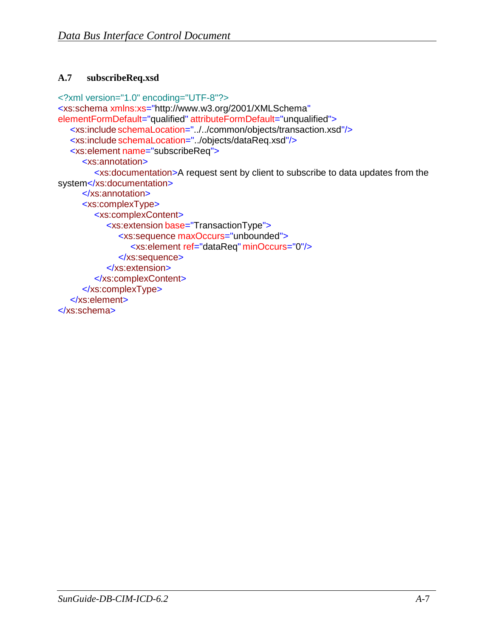## <span id="page-23-0"></span>**A.7 subscribeReq.xsd**

```
<?xml version="1.0" encoding="UTF-8"?>
<xs:schema xmlns:xs="http://www.w3.org/2001/XMLSchema" 
elementFormDefault="qualified" attributeFormDefault="unqualified">
  <xs:include schemaLocation="../../common/objects/transaction.xsd"/>
  <xs:include schemaLocation="../objects/dataReq.xsd"/>
  <xs:element name="subscribeReq">
     <xs:annotation>
        <xs:documentation>A request sent by client to subscribe to data updates from the 
system</xs:documentation>
     </xs:annotation>
     <xs:complexType>
        <xs:complexContent>
           <xs:extension base="TransactionType">
              <xs:sequence maxOccurs="unbounded">
                <xs:element ref="dataReq" minOccurs="0"/>
              </xs:sequence>
           </xs:extension>
        </xs:complexContent>
     </xs:complexType>
   </xs:element>
</xs:schema>
```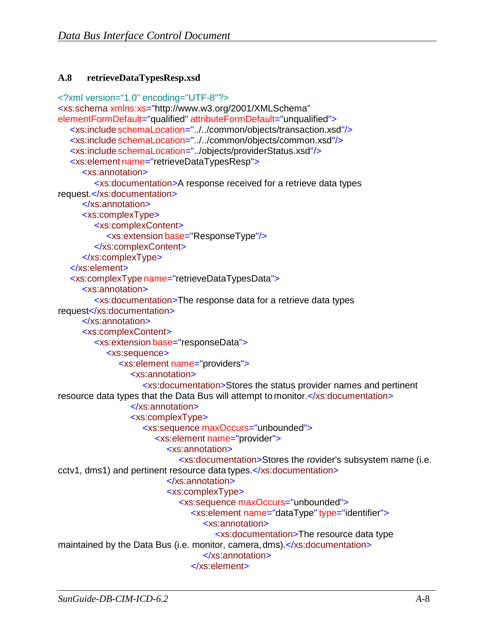## <span id="page-24-0"></span>**A.8 retrieveDataTypesResp.xsd**

```
<?xml version="1.0" encoding="UTF-8"?>
<xs:schema xmlns:xs="http://www.w3.org/2001/XMLSchema" 
elementFormDefault="qualified" attributeFormDefault="unqualified">
   <xs:include schemaLocation="../../common/objects/transaction.xsd"/>
  <xs:include schemaLocation="../../common/objects/common.xsd"/>
   <xs:include schemaLocation="../objects/providerStatus.xsd"/>
   <xs:element name="retrieveDataTypesResp">
     <xs:annotation>
        <xs:documentation>A response received for a retrieve data types 
request.</xs:documentation>
     </xs:annotation>
     <xs:complexType>
        <xs:complexContent>
           <xs:extension base="ResponseType"/>
        </xs:complexContent>
     </xs:complexType>
  </xs:element>
   <xs:complexType name="retrieveDataTypesData">
     <xs:annotation>
        <xs:documentation>The response data for a retrieve data types 
request</xs:documentation>
     </xs:annotation>
     <xs:complexContent>
        <xs:extension base="responseData">
           <xs:sequence>
              <xs:element name="providers">
                <xs:annotation>
                   <xs:documentation>Stores the status provider names and pertinent 
resource data types that the Data Bus will attempt to monitor.</xs:documentation>
                </xs:annotation>
                <xs:complexType>
                   <xs:sequence maxOccurs="unbounded">
                      <xs:element name="provider">
                         <xs:annotation>
                            <xs:documentation>Stores the rovider's subsystem name (i.e. 
cctv1, dms1) and pertinent resource data types.</xs:documentation>
                         </xs:annotation>
                         <xs:complexType>
                            <xs:sequence maxOccurs="unbounded">
                              <xs:element name="dataType" type="identifier">
                                 <xs:annotation>
                                    <xs:documentation>The resource data type 
maintained by the Data Bus (i.e. monitor, camera, dms).</xs:documentation>
                                 </xs:annotation>
                              </xs:element>
```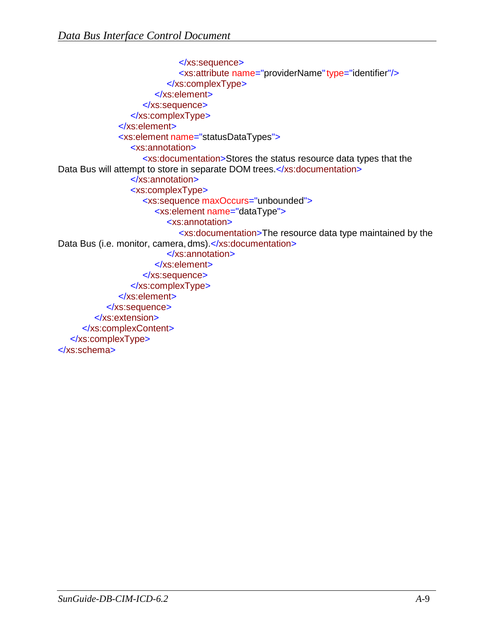```
</xs:sequence>
                           <xs:attribute name="providerName"type="identifier"/>
                        </xs:complexType>
                      </xs:element>
                   </xs:sequence>
                </xs:complexType>
             </xs:element>
             <xs:element name="statusDataTypes">
                <xs:annotation>
                   <xs:documentation>Stores the status resource data types that the 
Data Bus will attempt to store in separate DOM trees.</xs:documentation>
                </xs:annotation>
                <xs:complexType>
                   <xs:sequence maxOccurs="unbounded">
                      <xs:element name="dataType">
                        <xs:annotation>
                           <xs:documentation>The resource data type maintained by the 
Data Bus (i.e. monitor, camera, dms).</xs:documentation>
                        </xs:annotation>
                      </xs:element>
                   </xs:sequence>
                </xs:complexType>
             </xs:element>
           </xs:sequence>
        </xs:extension>
     </xs:complexContent>
  </xs:complexType>
</xs:schema>
```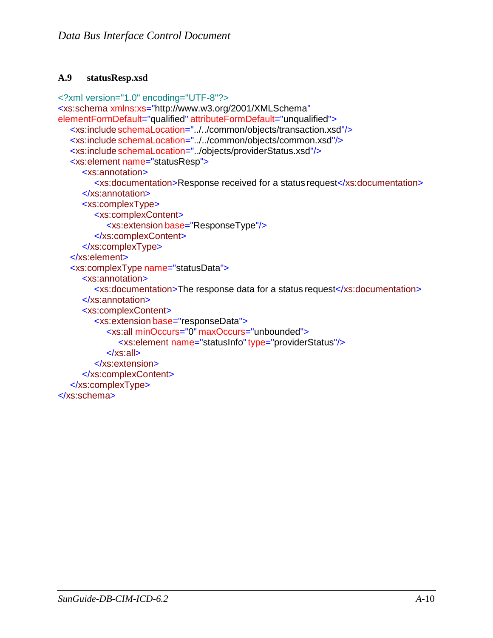### <span id="page-26-0"></span>**A.9 statusResp.xsd**

```
<?xml version="1.0" encoding="UTF-8"?>
<xs:schema xmlns:xs="http://www.w3.org/2001/XMLSchema" 
elementFormDefault="qualified" attributeFormDefault="unqualified">
  <xs:include schemaLocation="../../common/objects/transaction.xsd"/>
  <xs:include schemaLocation="../../common/objects/common.xsd"/>
   <xs:include schemaLocation="../objects/providerStatus.xsd"/>
   <xs:element name="statusResp">
     <xs:annotation>
        <xs:documentation>Response received for a status request</xs:documentation>
     </xs:annotation>
     <xs:complexType>
        <xs:complexContent>
           <xs:extension base="ResponseType"/>
        </xs:complexContent>
     </xs:complexType>
   </xs:element>
   <xs:complexType name="statusData">
     <xs:annotation>
        <xs:documentation>The response data for a status request</xs:documentation>
     </xs:annotation>
     <xs:complexContent>
        <xs:extension base="responseData">
           <xs:all minOccurs="0" maxOccurs="unbounded">
              <xs:element name="statusInfo"type="providerStatus"/>
           </xs:all>
        </xs:extension>
     </xs:complexContent>
   </xs:complexType>
</xs:schema>
```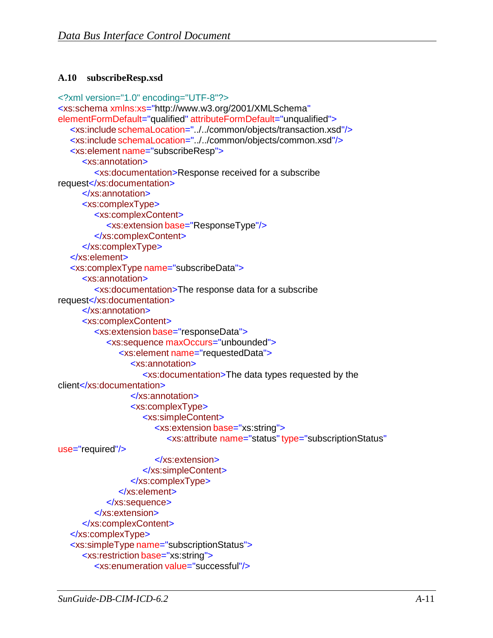## <span id="page-27-0"></span>**A.10 subscribeResp.xsd**

```
<?xml version="1.0" encoding="UTF-8"?>
<xs:schema xmlns:xs="http://www.w3.org/2001/XMLSchema" 
elementFormDefault="qualified" attributeFormDefault="unqualified">
  <xs:include schemaLocation="../../common/objects/transaction.xsd"/>
  <xs:include schemaLocation="../../common/objects/common.xsd"/>
   <xs:element name="subscribeResp">
     <xs:annotation>
        <xs:documentation>Response received for a subscribe 
request</xs:documentation>
     </xs:annotation>
     <xs:complexType>
        <xs:complexContent>
           <xs:extension base="ResponseType"/>
        </xs:complexContent>
     </xs:complexType>
   </xs:element>
   <xs:complexType name="subscribeData">
     <xs:annotation>
        <xs:documentation>The response data for a subscribe 
request</xs:documentation>
     </xs:annotation>
     <xs:complexContent>
        <xs:extension base="responseData">
           <xs:sequence maxOccurs="unbounded">
              <xs:element name="requestedData">
                <xs:annotation>
                   <xs:documentation>The data types requested by the 
client</xs:documentation>
                </xs:annotation>
                <xs:complexType>
                   <xs:simpleContent>
                      <xs:extension base="xs:string">
                         <xs:attribute name="status" type="subscriptionStatus"
use="required"/>
                      </xs:extension>
                   </xs:simpleContent>
                </xs:complexType>
              </xs:element>
           </xs:sequence>
        </xs:extension>
     </xs:complexContent>
   </xs:complexType>
  <xs:simpleType name="subscriptionStatus">
     <xs:restriction base="xs:string">
        <xs:enumeration value="successful"/>
```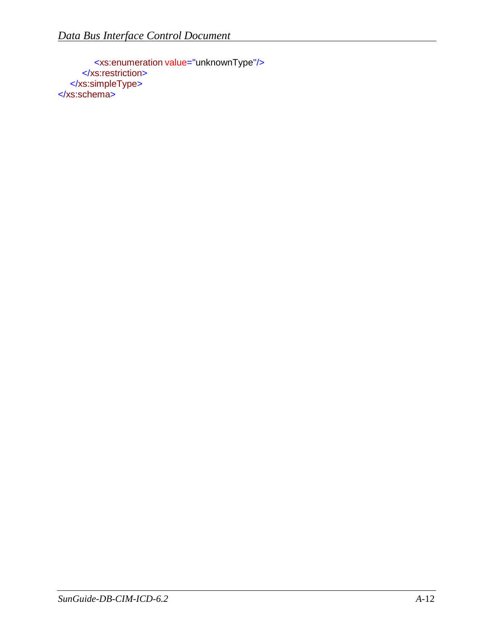<xs:enumeration value="unknownType"/> </xs:restriction> </xs:simpleType> </xs:schema>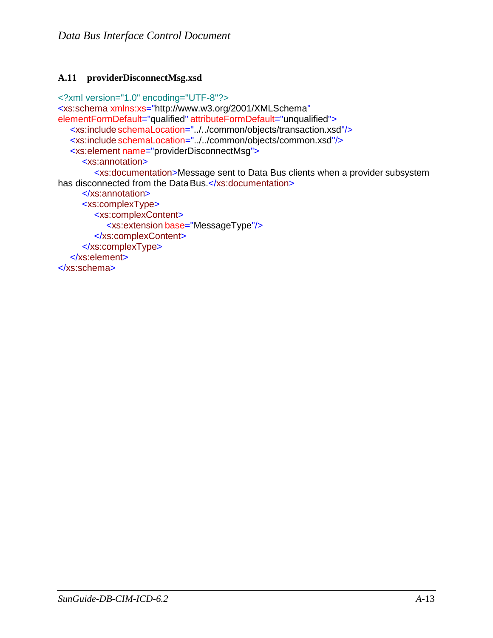## <span id="page-29-0"></span>**A.11 providerDisconnectMsg.xsd**

```
<?xml version="1.0" encoding="UTF-8"?>
<xs:schema xmlns:xs="http://www.w3.org/2001/XMLSchema" 
elementFormDefault="qualified" attributeFormDefault="unqualified">
  <xs:include schemaLocation="../../common/objects/transaction.xsd"/>
  <xs:include schemaLocation="../../common/objects/common.xsd"/>
  <xs:element name="providerDisconnectMsg">
     <xs:annotation>
        <xs:documentation>Message sent to Data Bus clients when a provider subsystem 
has disconnected from the Data Bus.</xs:documentation>
     </xs:annotation>
     <xs:complexType>
        <xs:complexContent>
           <xs:extension base="MessageType"/>
        </xs:complexContent>
     </xs:complexType>
   </xs:element>
</xs:schema>
```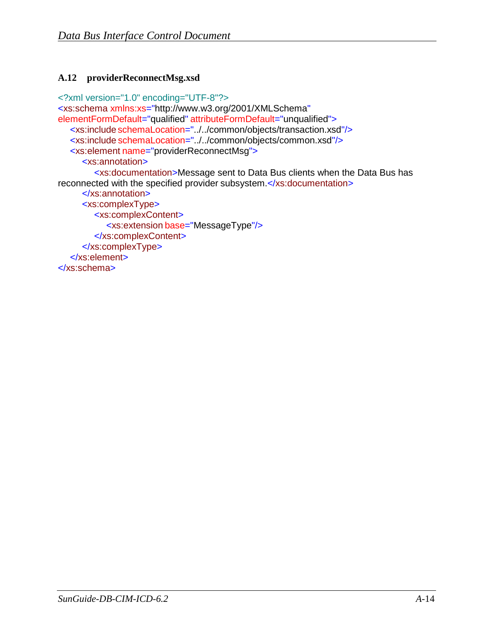## <span id="page-30-0"></span>**A.12 providerReconnectMsg.xsd**

```
<?xml version="1.0" encoding="UTF-8"?>
<xs:schema xmlns:xs="http://www.w3.org/2001/XMLSchema" 
elementFormDefault="qualified" attributeFormDefault="unqualified">
  <xs:include schemaLocation="../../common/objects/transaction.xsd"/>
  <xs:include schemaLocation="../../common/objects/common.xsd"/>
  <xs:element name="providerReconnectMsg">
     <xs:annotation>
        <xs:documentation>Message sent to Data Bus clients when the Data Bus has 
reconnected with the specified provider subsystem.</xs:documentation>
     </xs:annotation>
     <xs:complexType>
        <xs:complexContent>
           <xs:extension base="MessageType"/>
        </xs:complexContent>
     </xs:complexType>
   </xs:element>
</xs:schema>
```